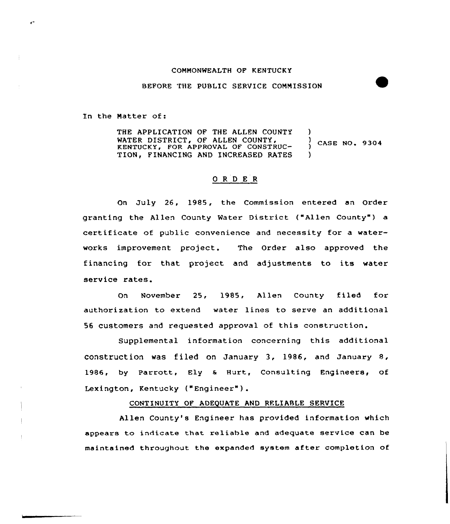## COMMONWEALTH OF KENTUCKY

#### BEFORE THE PUBLIC SERVICE COMMISSION

In the Matter of:

**P** 

THE APPLICATION OF THE ALLEN COUNTY WATER DISTRICT, OF ALLEN COUNTY, KENTUCKY, FOR APPROVAL OF CONSTRUC-TION, FINANCING AND INCREASED RATES  $\lambda$ ) CASE NO. 9304 )

# 0 <sup>R</sup> <sup>D</sup> E <sup>R</sup>

On July 26, 1985, the Commission entered an Oxdex. granting the Allen County Water District {"Allen County" ) a certificate of public convenience and necessity for a waterworks improvement project. The Order also approved the financing for that pxoject and adjustments to its water service rates.

On November 25, 1985, Allen County filed for authorization to extend water lines to serve an additional 56 customers and requested approval of this construction,

Supplemental information concerning this additional construction was filed on January 3, 1986, and January 8, 1986, by Parrott, Ely <sup>a</sup> Hurt, Consulting Engineers, of Lexington, Kentucky ("Engineer").

# CONTINUITY OF ADEQUATE AND RFLIARLE SERVICE

Allen County's Engineer has provided information which appears to indicate that reliable and adequate service can be maintained throughout the expanded system after completion of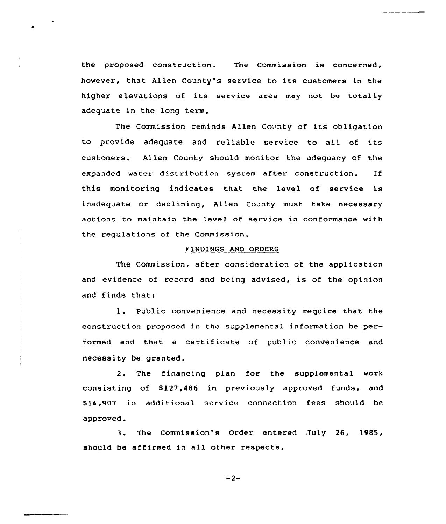the proposed construction. The Commission is concerned, however, that Allen County's service to its customers in the higher elevations of its service area may not be totally adequate in the long term.

The Commission reminds Allen County of its obligation to provide adequate and reliable service to all of its customers. Allen County should monitor the adequacy of the expanded water distribution system after construction. If this monitoring indicates that the level of service is inadequate or declining, Allen County must take necessary actions to maintain the level of service in conformance with the regulations of the Commission.

## FINDINGS AND ORDERS

The Commission, after consideration of the application and evidence of record and being advised, is of the opinion and finds that:

1. Public convenience and necessity require that the construction proposed in the supplemental information be performed and that <sup>a</sup> certificate of public convenience and necessity be granted.

2. The financing plan for the supplemental work consisting of \$127,486 in previously approved funds, and \$ 14,907 in additional service connection fees should be approved.

3. The Commission's Order entered July 26, 1985, should be affirmed in all other respects.

 $-2-$